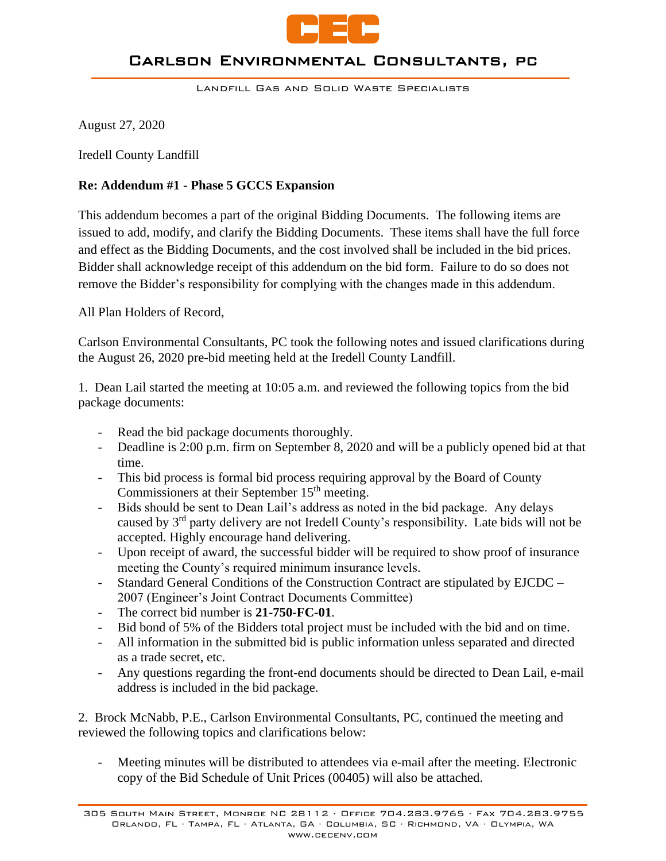

#### Carlson Environmental Consultants, pc

Landfill Gas and Solid Waste Specialists

August 27, 2020

Iredell County Landfill

## **Re: Addendum #1 - Phase 5 GCCS Expansion**

This addendum becomes a part of the original Bidding Documents. The following items are issued to add, modify, and clarify the Bidding Documents. These items shall have the full force and effect as the Bidding Documents, and the cost involved shall be included in the bid prices. Bidder shall acknowledge receipt of this addendum on the bid form. Failure to do so does not remove the Bidder's responsibility for complying with the changes made in this addendum.

All Plan Holders of Record,

Carlson Environmental Consultants, PC took the following notes and issued clarifications during the August 26, 2020 pre-bid meeting held at the Iredell County Landfill.

1. Dean Lail started the meeting at 10:05 a.m. and reviewed the following topics from the bid package documents:

- Read the bid package documents thoroughly.
- Deadline is 2:00 p.m. firm on September 8, 2020 and will be a publicly opened bid at that time.
- This bid process is formal bid process requiring approval by the Board of County Commissioners at their September 15<sup>th</sup> meeting.
- Bids should be sent to Dean Lail's address as noted in the bid package. Any delays caused by 3rd party delivery are not Iredell County's responsibility. Late bids will not be accepted. Highly encourage hand delivering.
- Upon receipt of award, the successful bidder will be required to show proof of insurance meeting the County's required minimum insurance levels.
- Standard General Conditions of the Construction Contract are stipulated by EJCDC 2007 (Engineer's Joint Contract Documents Committee)
- The correct bid number is **21-750-FC-01**.
- Bid bond of 5% of the Bidders total project must be included with the bid and on time.
- All information in the submitted bid is public information unless separated and directed as a trade secret, etc.
- Any questions regarding the front-end documents should be directed to Dean Lail, e-mail address is included in the bid package.

2. Brock McNabb, P.E., Carlson Environmental Consultants, PC, continued the meeting and reviewed the following topics and clarifications below:

Meeting minutes will be distributed to attendees via e-mail after the meeting. Electronic copy of the Bid Schedule of Unit Prices (00405) will also be attached.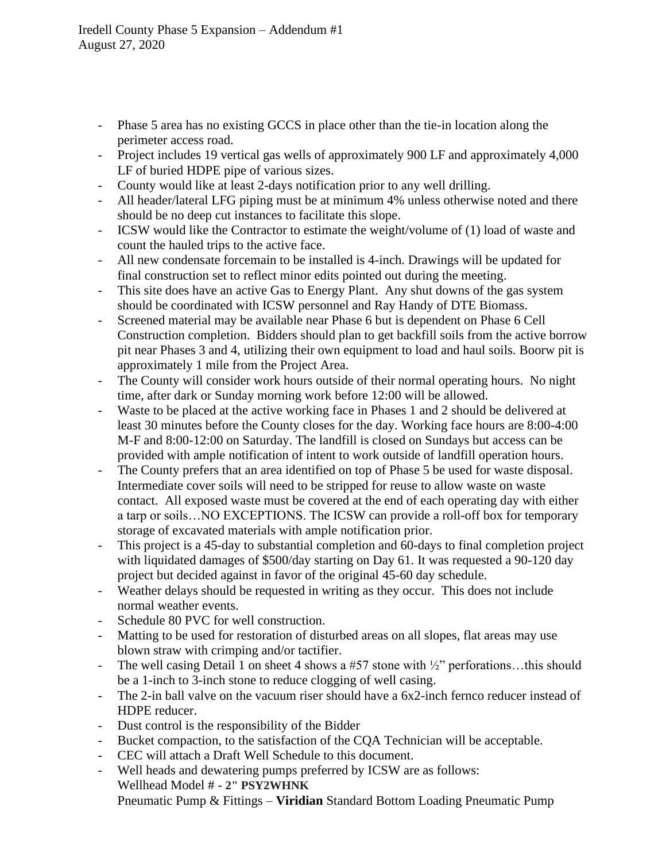- Phase 5 area has no existing GCCS in place other than the tie-in location along the perimeter access road.
- Project includes 19 vertical gas wells of approximately 900 LF and approximately 4,000 LF of buried HDPE pipe of various sizes.
- County would like at least 2-days notification prior to any well drilling.
- All header/lateral LFG piping must be at minimum 4% unless otherwise noted and there should be no deep cut instances to facilitate this slope.
- ICSW would like the Contractor to estimate the weight/volume of (1) load of waste and count the hauled trips to the active face.
- All new condensate forcemain to be installed is 4-inch. Drawings will be updated for final construction set to reflect minor edits pointed out during the meeting.
- This site does have an active Gas to Energy Plant. Any shut downs of the gas system should be coordinated with ICSW personnel and Ray Handy of DTE Biomass.
- Screened material may be available near Phase 6 but is dependent on Phase 6 Cell Construction completion. Bidders should plan to get backfill soils from the active borrow pit near Phases 3 and 4, utilizing their own equipment to load and haul soils. Boorw pit is approximately 1 mile from the Project Area.
- The County will consider work hours outside of their normal operating hours. No night time, after dark or Sunday morning work before 12:00 will be allowed.
- Waste to be placed at the active working face in Phases 1 and 2 should be delivered at least 30 minutes before the County closes for the day. Working face hours are 8:00-4:00 M-F and 8:00-12:00 on Saturday. The landfill is closed on Sundays but access can be provided with ample notification of intent to work outside of landfill operation hours.
- The County prefers that an area identified on top of Phase 5 be used for waste disposal. Intermediate cover soils will need to be stripped for reuse to allow waste on waste contact. All exposed waste must be covered at the end of each operating day with either a tarp or soils…NO EXCEPTIONS. The ICSW can provide a roll-off box for temporary storage of excavated materials with ample notification prior.
- This project is a 45-day to substantial completion and 60-days to final completion project with liquidated damages of \$500/day starting on Day 61. It was requested a 90-120 day project but decided against in favor of the original 45-60 day schedule.
- Weather delays should be requested in writing as they occur. This does not include normal weather events.
- Schedule 80 PVC for well construction.
- Matting to be used for restoration of disturbed areas on all slopes, flat areas may use blown straw with crimping and/or tactifier.
- The well casing Detail 1 on sheet 4 shows a #57 stone with  $\frac{1}{2}$  perforations...this should be a 1-inch to 3-inch stone to reduce clogging of well casing.
- The 2-in ball valve on the vacuum riser should have a 6x2-inch fernco reducer instead of HDPE reducer.
- Dust control is the responsibility of the Bidder
- Bucket compaction, to the satisfaction of the CQA Technician will be acceptable.
- CEC will attach a Draft Well Schedule to this document.
- Well heads and dewatering pumps preferred by ICSW are as follows: Wellhead Model # - **2" PSY2WHNK** Pneumatic Pump & Fittings – **Viridian** Standard Bottom Loading Pneumatic Pump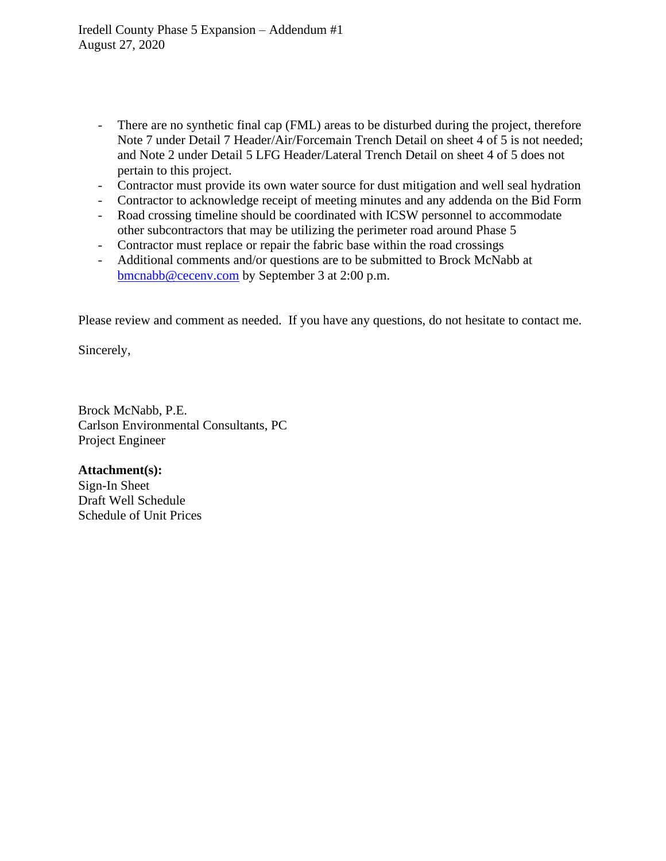- There are no synthetic final cap (FML) areas to be disturbed during the project, therefore Note 7 under Detail 7 Header/Air/Forcemain Trench Detail on sheet 4 of 5 is not needed; and Note 2 under Detail 5 LFG Header/Lateral Trench Detail on sheet 4 of 5 does not pertain to this project.
- Contractor must provide its own water source for dust mitigation and well seal hydration
- Contractor to acknowledge receipt of meeting minutes and any addenda on the Bid Form
- Road crossing timeline should be coordinated with ICSW personnel to accommodate other subcontractors that may be utilizing the perimeter road around Phase 5
- Contractor must replace or repair the fabric base within the road crossings
- Additional comments and/or questions are to be submitted to Brock McNabb at [bmcnabb@cecenv.com](mailto:bmcnabb@cecenv.com) by September 3 at 2:00 p.m.

Please review and comment as needed. If you have any questions, do not hesitate to contact me.

Sincerely,

Brock McNabb, P.E. Carlson Environmental Consultants, PC Project Engineer

**Attachment(s):** Sign-In Sheet Draft Well Schedule Schedule of Unit Prices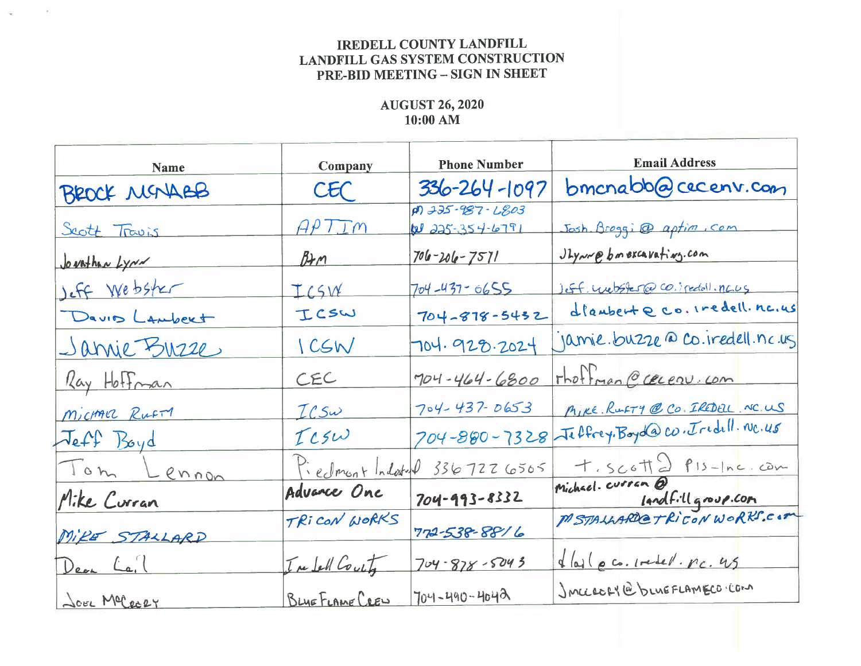# **IREDELL COUNTY LANDFILL LANDFILL GAS SYSTEM CONSTRUCTION** PRE-BID MEETING - SIGN IN SHEET

# **AUGUST 26, 2020**  $10:00$  AM

| Name                | Company         | <b>Phone Number</b>                            | Email Address                       |  |  |  |
|---------------------|-----------------|------------------------------------------------|-------------------------------------|--|--|--|
| BEOCK MENABB        | CEC             | $336 - 264 - 1097$                             | bmcnabb@cecenv.com                  |  |  |  |
| Scott Travis        | APTTm           | $\overline{p9}$ 225-987-2803<br>W 225-354-6791 | Josh Broggi @ aptim . com           |  |  |  |
| Jovathan Lynn       | Brm             | $706 - 206 - 7571$                             | Ulynne bon excavations. com         |  |  |  |
| Jeff Webster        | ICSW            | $704 - 437 - 0655$                             | Jeff. websperred co. spectall. naug |  |  |  |
| Davis Lambert       | ICSW            | $704 - 878 - 5432$                             | dlaubent e co. iredell. nc.us       |  |  |  |
| <u>Janvie Buzze</u> | ICSW            | 704.928.2024                                   | Jamie. buzze @ Co. Iredell. nc. us  |  |  |  |
| Ray Hoffman         | CEC             | 704-464-6800                                   | That man @ cecen.com                |  |  |  |
| Michael Rufin       | $ICS\omega$     | $704 - 437 - 0653$                             | MIKE RUFTY @ CO. IREDEL NC.US       |  |  |  |
| Jeff Boyd           | TCSW            | 704-880-7328                                   | Jeffrey. Boyd@co. Tridill. NC. 45   |  |  |  |
| Tom Lennon          |                 |                                                | t. Scott 2 P15-Inc. com             |  |  |  |
| Mike Curran         |                 | Piedmont Indoted 3367226505<br>704-993-8332    |                                     |  |  |  |
| MIRE STALLARD       | TRICON WORKS    | 772-538-8816                                   | Indfillgroup.com                    |  |  |  |
| Dear La.            | Infell County   | $704 - 878 - 5043$                             | dlast p co. Iredel. nc. 45          |  |  |  |
| JOEL Melecer        | BLUE FLAME CREW | 704-490-4042                                   | JACCEOFY@bLUEFLAMECOKCOM            |  |  |  |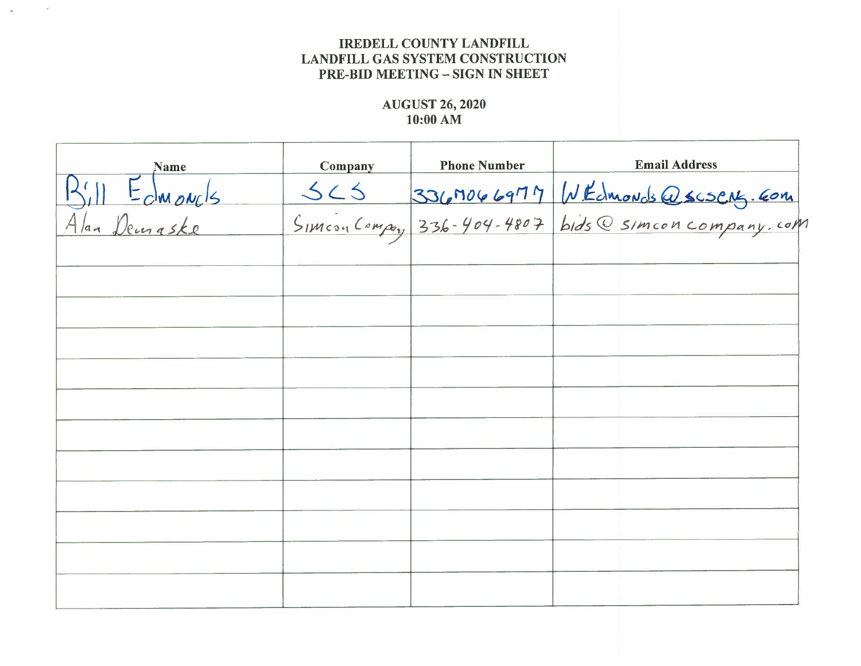### **IREDELL COUNTY LANDFILL LANDFILL GAS SYSTEM CONSTRUCTION PRE-BID MEETING - SIGN IN SHEET**

 $\sim$ 

## **AUGUST 26, 2020**  $10:00$  AM

| <b>Name</b>                  | Company | <b>Phone Number</b> | <b>Email Address</b>                 |  |  |
|------------------------------|---------|---------------------|--------------------------------------|--|--|
| Bill Edmonds<br>Alan Demaske |         |                     |                                      |  |  |
|                              |         |                     | 565 3367066977 WEdmonds Qscscns. Com |  |  |
|                              |         |                     |                                      |  |  |
|                              |         |                     |                                      |  |  |
|                              |         |                     |                                      |  |  |
|                              |         |                     |                                      |  |  |
|                              |         |                     |                                      |  |  |
|                              |         |                     |                                      |  |  |
|                              |         |                     |                                      |  |  |
|                              |         |                     |                                      |  |  |
|                              |         |                     |                                      |  |  |
|                              |         |                     |                                      |  |  |
|                              |         |                     |                                      |  |  |
|                              |         |                     |                                      |  |  |
|                              |         |                     |                                      |  |  |